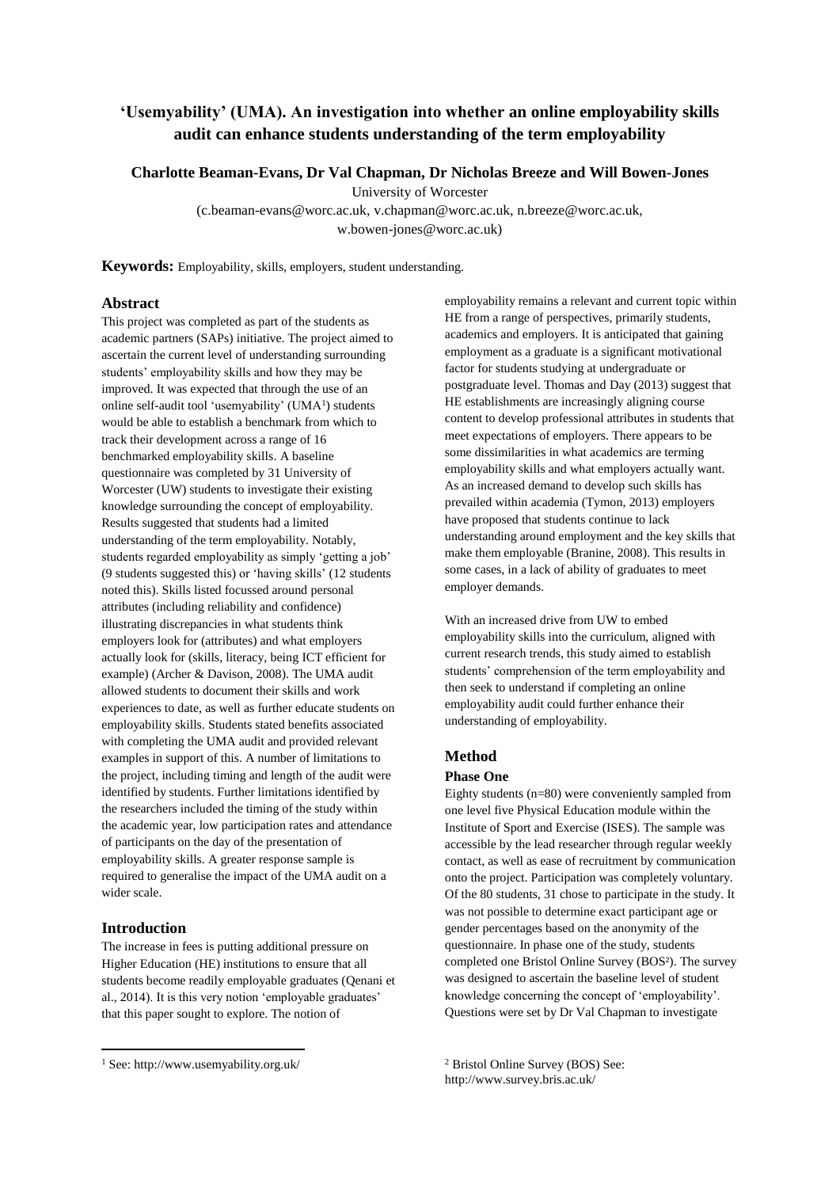# **'Usemyability' (UMA). An investigation into whether an online employability skills audit can enhance students understanding of the term employability**

**Charlotte Beaman-Evans, Dr Val Chapman, Dr Nicholas Breeze and Will Bowen-Jones**

University of Worcester

(c.beaman-evans@worc.ac.uk, v.chapman@worc.ac.uk, n.breeze@worc.ac.uk, w.bowen-jones@worc.ac.uk)

**Keywords:** Employability, skills, employers, student understanding.

# **Abstract**

This project was completed as part of the students as academic partners (SAPs) initiative. The project aimed to ascertain the current level of understanding surrounding students' employability skills and how they may be improved. It was expected that through the use of an online self-audit tool 'usemyability' (UMA<sup>1</sup>) students would be able to establish a benchmark from which to track their development across a range of 16 benchmarked employability skills. A baseline questionnaire was completed by 31 University of Worcester (UW) students to investigate their existing knowledge surrounding the concept of employability. Results suggested that students had a limited understanding of the term employability. Notably, students regarded employability as simply 'getting a job' (9 students suggested this) or 'having skills' (12 students noted this). Skills listed focussed around personal attributes (including reliability and confidence) illustrating discrepancies in what students think employers look for (attributes) and what employers actually look for (skills, literacy, being ICT efficient for example) (Archer & Davison, 2008). The UMA audit allowed students to document their skills and work experiences to date, as well as further educate students on employability skills. Students stated benefits associated with completing the UMA audit and provided relevant examples in support of this. A number of limitations to the project, including timing and length of the audit were identified by students. Further limitations identified by the researchers included the timing of the study within the academic year, low participation rates and attendance of participants on the day of the presentation of employability skills. A greater response sample is required to generalise the impact of the UMA audit on a wider scale.

# **Introduction**

**.** 

The increase in fees is putting additional pressure on Higher Education (HE) institutions to ensure that all students become readily employable graduates (Qenani et al., 2014). It is this very notion 'employable graduates' that this paper sought to explore. The notion of

employability remains a relevant and current topic within HE from a range of perspectives, primarily students, academics and employers. It is anticipated that gaining employment as a graduate is a significant motivational factor for students studying at undergraduate or postgraduate level. Thomas and Day (2013) suggest that HE establishments are increasingly aligning course content to develop professional attributes in students that meet expectations of employers. There appears to be some dissimilarities in what academics are terming employability skills and what employers actually want. As an increased demand to develop such skills has prevailed within academia (Tymon, 2013) employers have proposed that students continue to lack understanding around employment and the key skills that make them employable (Branine, 2008). This results in some cases, in a lack of ability of graduates to meet employer demands.

With an increased drive from UW to embed employability skills into the curriculum, aligned with current research trends, this study aimed to establish students' comprehension of the term employability and then seek to understand if completing an online employability audit could further enhance their understanding of employability.

#### **Method**

#### **Phase One**

Eighty students (n=80) were conveniently sampled from one level five Physical Education module within the Institute of Sport and Exercise (ISES). The sample was accessible by the lead researcher through regular weekly contact, as well as ease of recruitment by communication onto the project. Participation was completely voluntary. Of the 80 students, 31 chose to participate in the study. It was not possible to determine exact participant age or gender percentages based on the anonymity of the questionnaire. In phase one of the study, students completed one Bristol Online Survey (BOS²). The survey was designed to ascertain the baseline level of student knowledge concerning the concept of 'employability'. Questions were set by Dr Val Chapman to investigate

<sup>2</sup> Bristol Online Survey (BOS) See: http://www.survey.bris.ac.uk/

<sup>1</sup> See: http://www.usemyability.org.uk/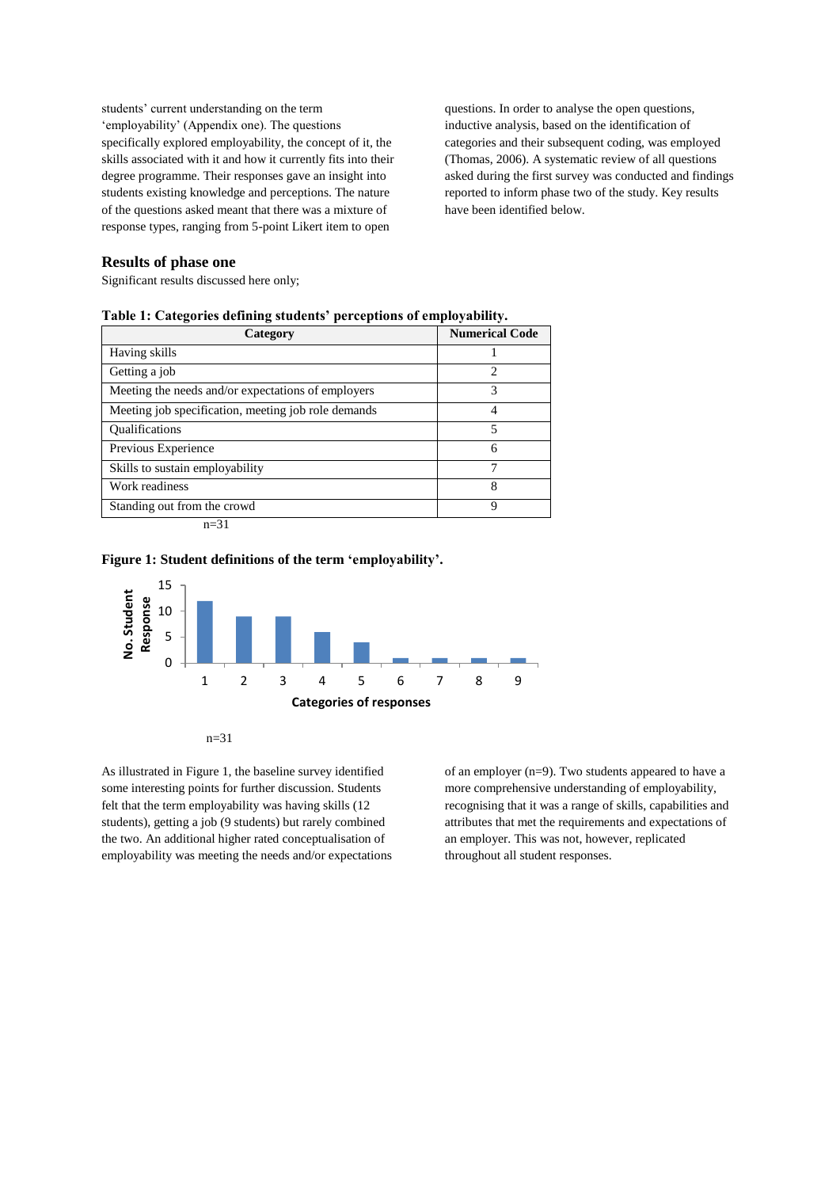students' current understanding on the term 'employability' (Appendix one). The questions specifically explored employability, the concept of it, the skills associated with it and how it currently fits into their degree programme. Their responses gave an insight into students existing knowledge and perceptions. The nature of the questions asked meant that there was a mixture of response types, ranging from 5-point Likert item to open

questions. In order to analyse the open questions, inductive analysis, based on the identification of categories and their subsequent coding, was employed (Thomas, 2006). A systematic review of all questions asked during the first survey was conducted and findings reported to inform phase two of the study. Key results have been identified below.

# **Results of phase one**

Significant results discussed here only;

| Category                                            | <b>Numerical Code</b>       |
|-----------------------------------------------------|-----------------------------|
| Having skills                                       |                             |
| Getting a job                                       | $\mathcal{D}_{\mathcal{A}}$ |
| Meeting the needs and/or expectations of employers  | 3                           |
| Meeting job specification, meeting job role demands | 4                           |
| <b>Oualifications</b>                               | 5                           |
| Previous Experience                                 | 6                           |
| Skills to sustain employability                     | 7                           |
| Work readiness                                      | 8                           |
| Standing out from the crowd                         | 9                           |
| $n = 31$                                            |                             |

|  |  |  | Table 1: Categories defining students' perceptions of employability. |  |  |
|--|--|--|----------------------------------------------------------------------|--|--|
|--|--|--|----------------------------------------------------------------------|--|--|

#### **Figure 1: Student definitions of the term 'employability'.**





As illustrated in Figure 1, the baseline survey identified some interesting points for further discussion. Students felt that the term employability was having skills (12 students), getting a job (9 students) but rarely combined the two. An additional higher rated conceptualisation of employability was meeting the needs and/or expectations of an employer (n=9). Two students appeared to have a more comprehensive understanding of employability, recognising that it was a range of skills, capabilities and attributes that met the requirements and expectations of an employer. This was not, however, replicated throughout all student responses.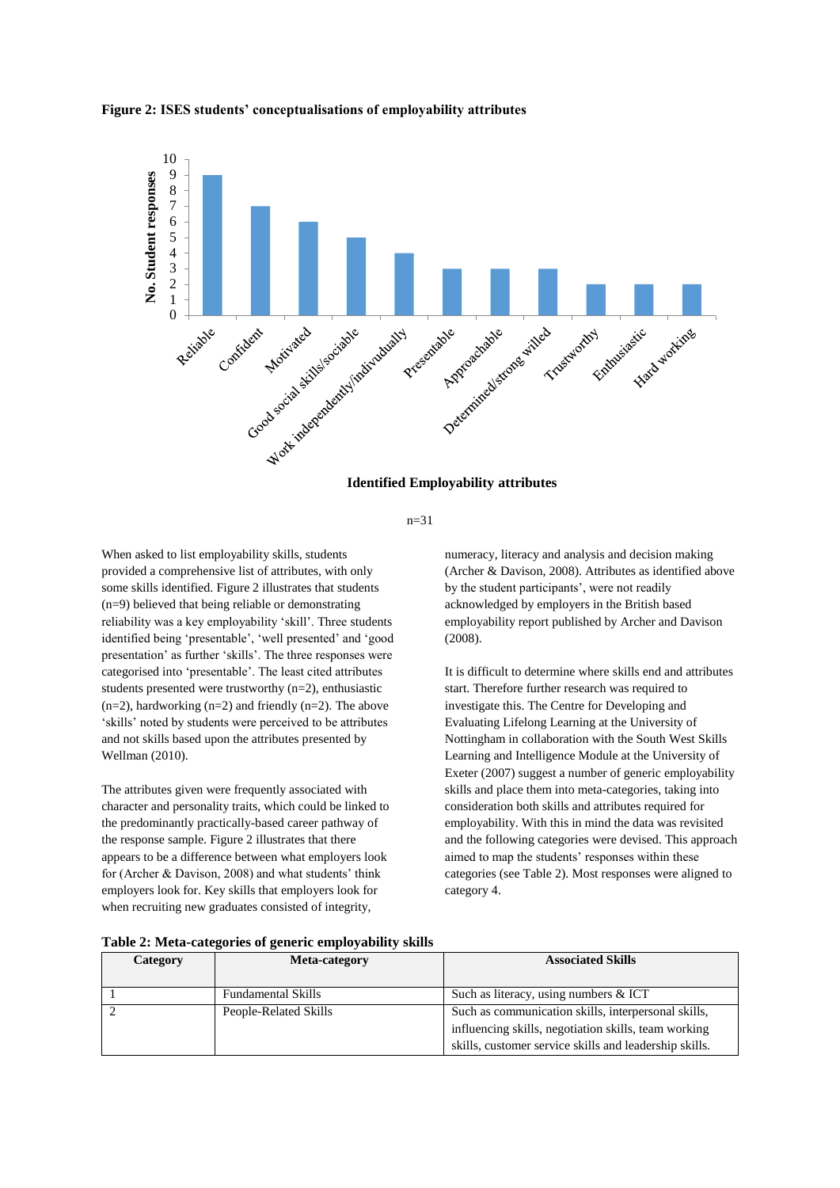

#### **Figure 2: ISES students' conceptualisations of employability attributes**



n=31

When asked to list employability skills, students provided a comprehensive list of attributes, with only some skills identified. Figure 2 illustrates that students (n=9) believed that being reliable or demonstrating reliability was a key employability 'skill'. Three students identified being 'presentable', 'well presented' and 'good presentation' as further 'skills'. The three responses were categorised into 'presentable'. The least cited attributes students presented were trustworthy  $(n=2)$ , enthusiastic  $(n=2)$ , hardworking  $(n=2)$  and friendly  $(n=2)$ . The above 'skills' noted by students were perceived to be attributes and not skills based upon the attributes presented by Wellman (2010).

The attributes given were frequently associated with character and personality traits, which could be linked to the predominantly practically-based career pathway of the response sample. Figure 2 illustrates that there appears to be a difference between what employers look for (Archer & Davison, 2008) and what students' think employers look for. Key skills that employers look for when recruiting new graduates consisted of integrity,

numeracy, literacy and analysis and decision making (Archer & Davison, 2008). Attributes as identified above by the student participants', were not readily acknowledged by employers in the British based employability report published by Archer and Davison (2008).

It is difficult to determine where skills end and attributes start. Therefore further research was required to investigate this. The Centre for Developing and Evaluating Lifelong Learning at the University of Nottingham in collaboration with the South West Skills Learning and Intelligence Module at the University of Exeter (2007) suggest a number of generic employability skills and place them into meta-categories, taking into consideration both skills and attributes required for employability. With this in mind the data was revisited and the following categories were devised. This approach aimed to map the students' responses within these categories (see Table 2). Most responses were aligned to category 4.

|          | Table 2: Meta-categories of generic employability skills |                          |
|----------|----------------------------------------------------------|--------------------------|
| Category | Meta-category                                            | <b>Associated Skills</b> |

| Category | <b>Meta-category</b>      | <b>Associated Skills</b>                               |
|----------|---------------------------|--------------------------------------------------------|
|          | <b>Fundamental Skills</b> | Such as literacy, using numbers & ICT                  |
|          | People-Related Skills     | Such as communication skills, interpersonal skills,    |
|          |                           | influencing skills, negotiation skills, team working   |
|          |                           | skills, customer service skills and leadership skills. |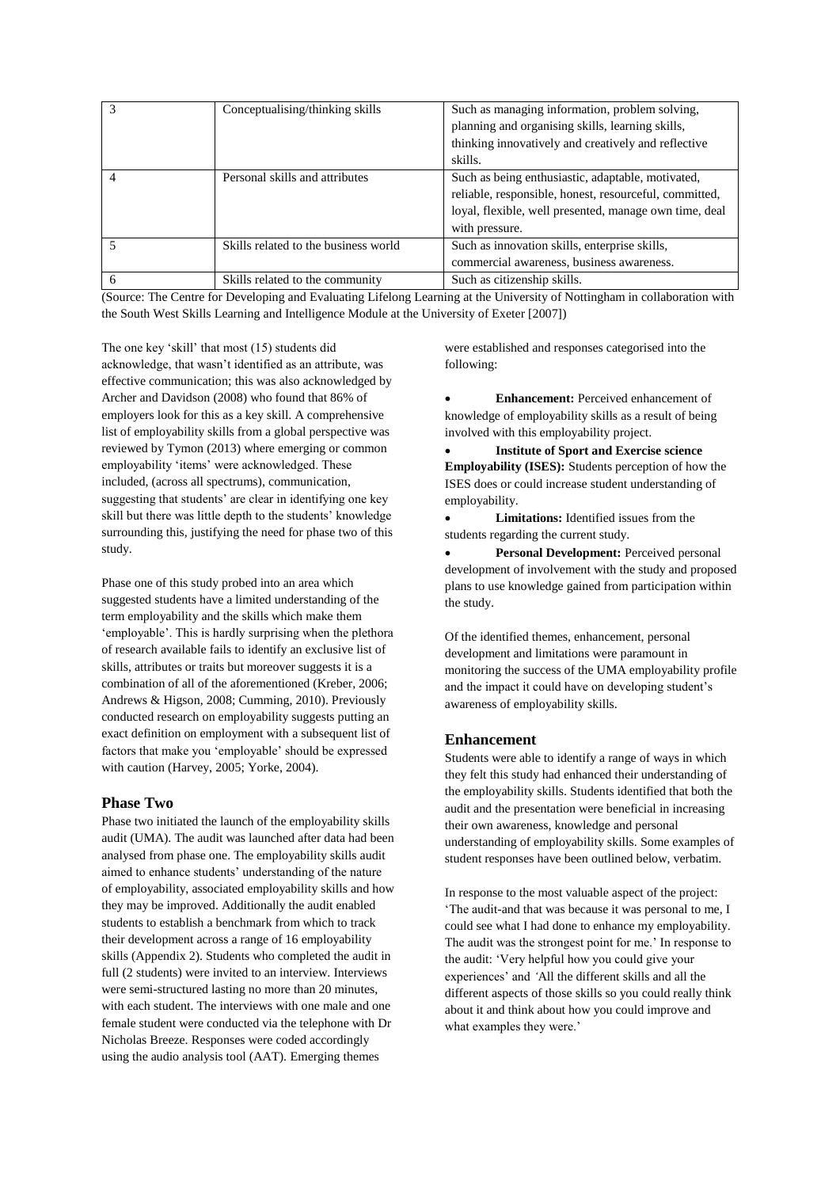|   | Conceptualising/thinking skills      | Such as managing information, problem solving,<br>planning and organising skills, learning skills,<br>thinking innovatively and creatively and reflective<br>skills.                    |
|---|--------------------------------------|-----------------------------------------------------------------------------------------------------------------------------------------------------------------------------------------|
| 4 | Personal skills and attributes       | Such as being enthusiastic, adaptable, motivated,<br>reliable, responsible, honest, resourceful, committed,<br>loyal, flexible, well presented, manage own time, deal<br>with pressure. |
|   | Skills related to the business world | Such as innovation skills, enterprise skills,<br>commercial awareness, business awareness.                                                                                              |
| 6 | Skills related to the community      | Such as citizenship skills.                                                                                                                                                             |

(Source: The Centre for Developing and Evaluating Lifelong Learning at the University of Nottingham in collaboration with the South West Skills Learning and Intelligence Module at the University of Exeter [2007])

The one key 'skill' that most (15) students did acknowledge, that wasn't identified as an attribute, was effective communication; this was also acknowledged by Archer and Davidson (2008) who found that 86% of employers look for this as a key skill. A comprehensive list of employability skills from a global perspective was reviewed by Tymon (2013) where emerging or common employability 'items' were acknowledged. These included, (across all spectrums), communication, suggesting that students' are clear in identifying one key skill but there was little depth to the students' knowledge surrounding this, justifying the need for phase two of this study.

Phase one of this study probed into an area which suggested students have a limited understanding of the term employability and the skills which make them 'employable'. This is hardly surprising when the plethora of research available fails to identify an exclusive list of skills, attributes or traits but moreover suggests it is a combination of all of the aforementioned (Kreber, 2006; Andrews & Higson, 2008; Cumming, 2010). Previously conducted research on employability suggests putting an exact definition on employment with a subsequent list of factors that make you 'employable' should be expressed with caution (Harvey, 2005; Yorke, 2004).

#### **Phase Two**

Phase two initiated the launch of the employability skills audit (UMA). The audit was launched after data had been analysed from phase one. The employability skills audit aimed to enhance students' understanding of the nature of employability, associated employability skills and how they may be improved. Additionally the audit enabled students to establish a benchmark from which to track their development across a range of 16 employability skills (Appendix 2). Students who completed the audit in full (2 students) were invited to an interview. Interviews were semi-structured lasting no more than 20 minutes, with each student. The interviews with one male and one female student were conducted via the telephone with Dr Nicholas Breeze. Responses were coded accordingly using the audio analysis tool (AAT). Emerging themes

were established and responses categorised into the following:

 **Enhancement:** Perceived enhancement of knowledge of employability skills as a result of being involved with this employability project.

 **Institute of Sport and Exercise science Employability (ISES):** Students perception of how the ISES does or could increase student understanding of employability.

 **Limitations:** Identified issues from the students regarding the current study.

 **Personal Development:** Perceived personal development of involvement with the study and proposed plans to use knowledge gained from participation within the study.

Of the identified themes, enhancement, personal development and limitations were paramount in monitoring the success of the UMA employability profile and the impact it could have on developing student's awareness of employability skills.

#### **Enhancement**

Students were able to identify a range of ways in which they felt this study had enhanced their understanding of the employability skills. Students identified that both the audit and the presentation were beneficial in increasing their own awareness, knowledge and personal understanding of employability skills. Some examples of student responses have been outlined below, verbatim.

In response to the most valuable aspect of the project: 'The audit-and that was because it was personal to me, I could see what I had done to enhance my employability. The audit was the strongest point for me.' In response to the audit: 'Very helpful how you could give your experiences' and *'*All the different skills and all the different aspects of those skills so you could really think about it and think about how you could improve and what examples they were.'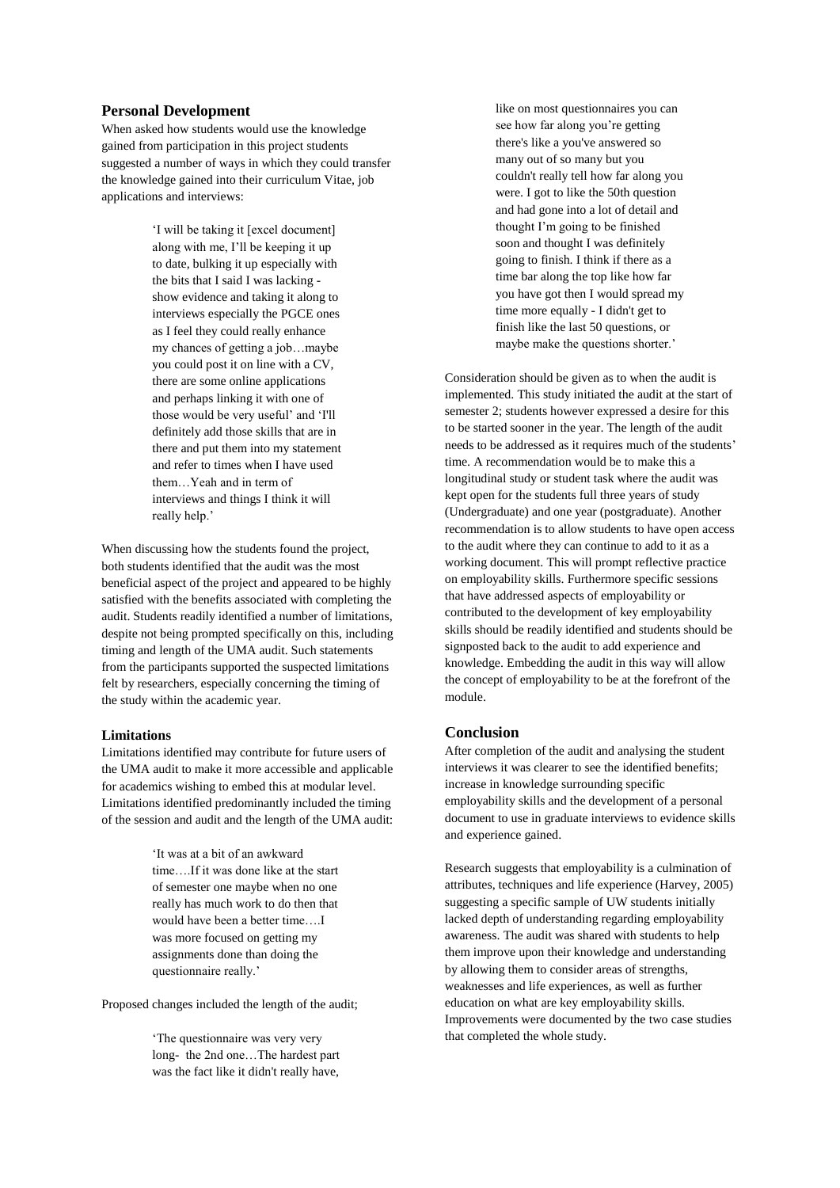## **Personal Development**

When asked how students would use the knowledge gained from participation in this project students suggested a number of ways in which they could transfer the knowledge gained into their curriculum Vitae, job applications and interviews:

> 'I will be taking it [excel document] along with me, I'll be keeping it up to date, bulking it up especially with the bits that I said I was lacking show evidence and taking it along to interviews especially the PGCE ones as I feel they could really enhance my chances of getting a job…maybe you could post it on line with a CV, there are some online applications and perhaps linking it with one of those would be very useful' and 'I'll definitely add those skills that are in there and put them into my statement and refer to times when I have used them…Yeah and in term of interviews and things I think it will really help.'

When discussing how the students found the project, both students identified that the audit was the most beneficial aspect of the project and appeared to be highly satisfied with the benefits associated with completing the audit. Students readily identified a number of limitations, despite not being prompted specifically on this, including timing and length of the UMA audit. Such statements from the participants supported the suspected limitations felt by researchers, especially concerning the timing of the study within the academic year.

#### **Limitations**

Limitations identified may contribute for future users of the UMA audit to make it more accessible and applicable for academics wishing to embed this at modular level. Limitations identified predominantly included the timing of the session and audit and the length of the UMA audit:

> 'It was at a bit of an awkward time….If it was done like at the start of semester one maybe when no one really has much work to do then that would have been a better time….I was more focused on getting my assignments done than doing the questionnaire really.'

Proposed changes included the length of the audit;

'The questionnaire was very very long- the 2nd one…The hardest part was the fact like it didn't really have,

like on most questionnaires you can see how far along you're getting there's like a you've answered so many out of so many but you couldn't really tell how far along you were. I got to like the 50th question and had gone into a lot of detail and thought I'm going to be finished soon and thought I was definitely going to finish. I think if there as a time bar along the top like how far you have got then I would spread my time more equally - I didn't get to finish like the last 50 questions, or maybe make the questions shorter.'

Consideration should be given as to when the audit is implemented. This study initiated the audit at the start of semester 2; students however expressed a desire for this to be started sooner in the year. The length of the audit needs to be addressed as it requires much of the students' time. A recommendation would be to make this a longitudinal study or student task where the audit was kept open for the students full three years of study (Undergraduate) and one year (postgraduate). Another recommendation is to allow students to have open access to the audit where they can continue to add to it as a working document. This will prompt reflective practice on employability skills. Furthermore specific sessions that have addressed aspects of employability or contributed to the development of key employability skills should be readily identified and students should be signposted back to the audit to add experience and knowledge. Embedding the audit in this way will allow the concept of employability to be at the forefront of the module.

## **Conclusion**

After completion of the audit and analysing the student interviews it was clearer to see the identified benefits; increase in knowledge surrounding specific employability skills and the development of a personal document to use in graduate interviews to evidence skills and experience gained.

Research suggests that employability is a culmination of attributes, techniques and life experience (Harvey, 2005) suggesting a specific sample of UW students initially lacked depth of understanding regarding employability awareness. The audit was shared with students to help them improve upon their knowledge and understanding by allowing them to consider areas of strengths, weaknesses and life experiences, as well as further education on what are key employability skills. Improvements were documented by the two case studies that completed the whole study.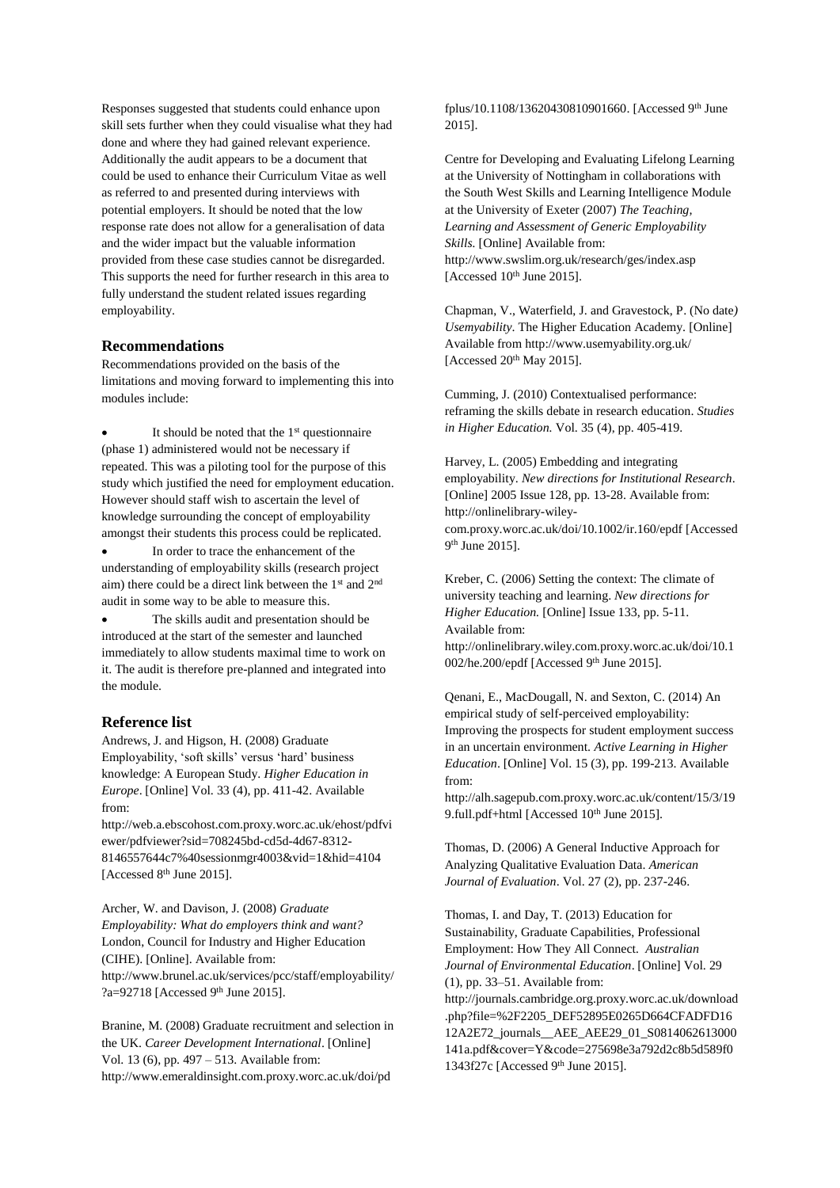Responses suggested that students could enhance upon skill sets further when they could visualise what they had done and where they had gained relevant experience. Additionally the audit appears to be a document that could be used to enhance their Curriculum Vitae as well as referred to and presented during interviews with potential employers. It should be noted that the low response rate does not allow for a generalisation of data and the wider impact but the valuable information provided from these case studies cannot be disregarded. This supports the need for further research in this area to fully understand the student related issues regarding employability.

### **Recommendations**

Recommendations provided on the basis of the limitations and moving forward to implementing this into modules include:

It should be noted that the 1<sup>st</sup> questionnaire (phase 1) administered would not be necessary if repeated. This was a piloting tool for the purpose of this study which justified the need for employment education. However should staff wish to ascertain the level of knowledge surrounding the concept of employability amongst their students this process could be replicated.

 In order to trace the enhancement of the understanding of employability skills (research project aim) there could be a direct link between the 1<sup>st</sup> and 2<sup>nd</sup> audit in some way to be able to measure this.

 The skills audit and presentation should be introduced at the start of the semester and launched immediately to allow students maximal time to work on it. The audit is therefore pre-planned and integrated into the module.

## **Reference list**

Andrews, J. and Higson, H. (2008) Graduate Employability, 'soft skills' versus 'hard' business knowledge: A European Study. *Higher Education in Europe*. [Online] Vol. 33 (4), pp. 411-42. Available from:

http://web.a.ebscohost.com.proxy.worc.ac.uk/ehost/pdfvi ewer/pdfviewer?sid=708245bd-cd5d-4d67-8312- 8146557644c7%40sessionmgr4003&vid=1&hid=4104 [Accessed 8<sup>th</sup> June 2015].

Archer, W. and Davison, J. (2008) *Graduate Employability: What do employers think and want?* London, Council for Industry and Higher Education (CIHE). [Online]. Available from: http://www.brunel.ac.uk/services/pcc/staff/employability/ ?a=92718 [Accessed 9<sup>th</sup> June 2015].

Branine, M. (2008) Graduate recruitment and selection in the UK. *Career Development International*. [Online] Vol. 13 (6), pp. 497 – 513. Available from: http://www.emeraldinsight.com.proxy.worc.ac.uk/doi/pd

fplus/10.1108/13620430810901660. [Accessed 9th June 2015].

Centre for Developing and Evaluating Lifelong Learning at the University of Nottingham in collaborations with the South West Skills and Learning Intelligence Module at the University of Exeter (2007) *The Teaching, Learning and Assessment of Generic Employability Skills.* [Online] Available from: http://www.swslim.org.uk/research/ges/index.asp [Accessed  $10^{th}$  June 2015].

Chapman, V., Waterfield, J. and Gravestock, P. (No date*) Usemyability*. The Higher Education Academy. [Online] Available from http://www.usemyability.org.uk/ [Accessed 20<sup>th</sup> May 2015].

Cumming, J. (2010) Contextualised performance: reframing the skills debate in research education. *Studies in Higher Education.* Vol. 35 (4), pp. 405-419.

Harvey, L. (2005) Embedding and integrating employability. *New directions for Institutional Research*. [Online] 2005 Issue 128, pp. 13-28. Available from: http://onlinelibrary-wileycom.proxy.worc.ac.uk/doi/10.1002/ir.160/epdf [Accessed 9<sup>th</sup> June 2015].

Kreber, C. (2006) Setting the context: The climate of university teaching and learning. *New directions for Higher Education.* [Online] Issue 133, pp. 5-11. Available from: http://onlinelibrary.wiley.com.proxy.worc.ac.uk/doi/10.1 002/he.200/epdf [Accessed 9<sup>th</sup> June 2015].

Qenani, E., MacDougall, N. and Sexton, C. (2014) An empirical study of self-perceived employability: Improving the prospects for student employment success in an uncertain environment. *Active Learning in Higher Education*. [Online] Vol. 15 (3), pp. 199-213. Available from:

http://alh.sagepub.com.proxy.worc.ac.uk/content/15/3/19 9.full.pdf+html [Accessed  $10<sup>th</sup>$  June 2015].

Thomas, D. (2006) A General Inductive Approach for Analyzing Qualitative Evaluation Data. *American Journal of Evaluation*. Vol. 27 (2), pp. 237-246.

Thomas, I. and Day, T. (2013) Education for Sustainability, Graduate Capabilities, Professional Employment: How They All Connect*. Australian Journal of Environmental Education*. [Online] Vol. 29 (1), pp. 33–51. Available from:

http://journals.cambridge.org.proxy.worc.ac.uk/download .php?file=%2F2205\_DEF52895E0265D664CFADFD16 12A2E72\_journals\_\_AEE\_AEE29\_01\_S0814062613000 141a.pdf&cover=Y&code=275698e3a792d2c8b5d589f0 1343f27c [Accessed 9th June 2015].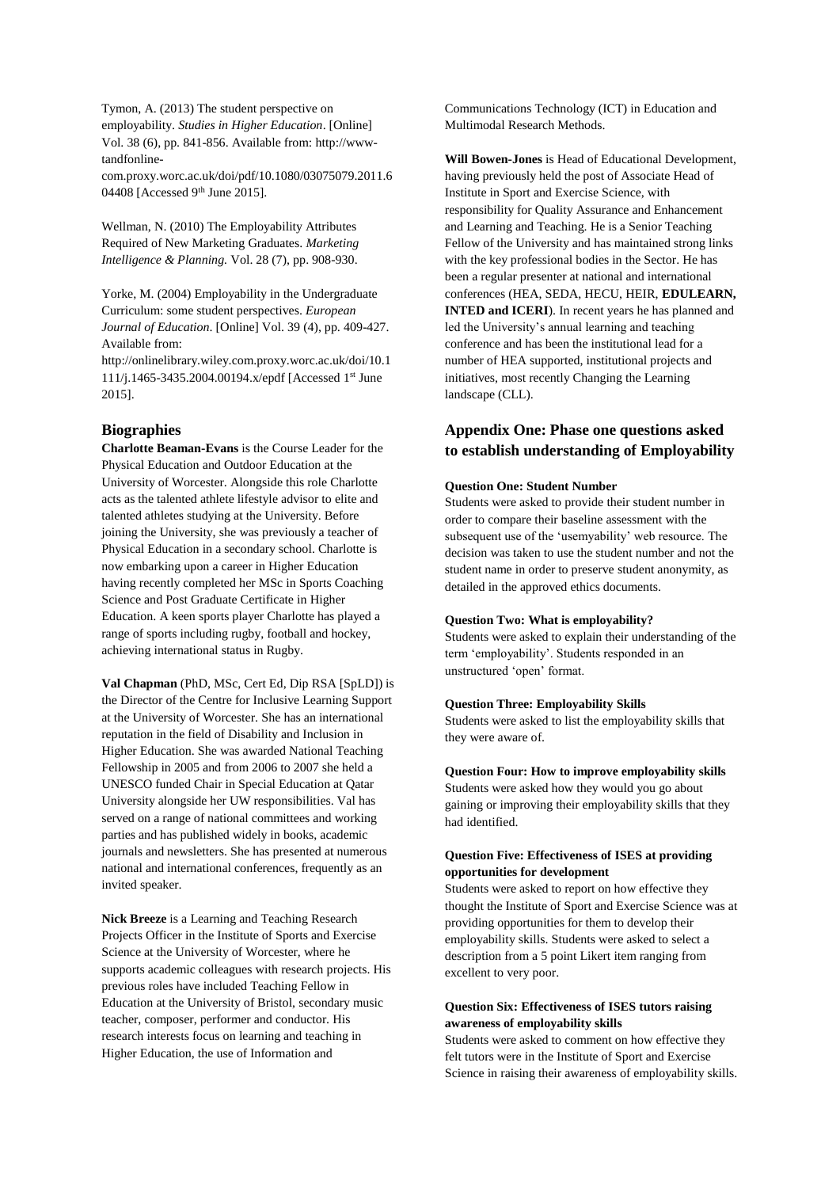Tymon, A. (2013) The student perspective on employability. *Studies in Higher Education*. [Online] Vol. 38 (6), pp. 841-856. Available from: http://wwwtandfonline-

com.proxy.worc.ac.uk/doi/pdf/10.1080/03075079.2011.6 04408 [Accessed 9<sup>th</sup> June 2015].

Wellman, N. (2010) The Employability Attributes Required of New Marketing Graduates. *Marketing Intelligence & Planning.* Vol. 28 (7), pp. 908-930.

Yorke, M. (2004) Employability in the Undergraduate Curriculum: some student perspectives. *European Journal of Education*. [Online] Vol. 39 (4), pp. 409-427. Available from:

http://onlinelibrary.wiley.com.proxy.worc.ac.uk/doi/10.1 111/j.1465-3435.2004.00194.x/epdf [Accessed 1st June 2015].

# **Biographies**

**Charlotte Beaman-Evans** is the Course Leader for the Physical Education and Outdoor Education at the University of Worcester. Alongside this role Charlotte acts as the talented athlete lifestyle advisor to elite and talented athletes studying at the University. Before joining the University, she was previously a teacher of Physical Education in a secondary school. Charlotte is now embarking upon a career in Higher Education having recently completed her MSc in Sports Coaching Science and Post Graduate Certificate in Higher Education. A keen sports player Charlotte has played a range of sports including rugby, football and hockey, achieving international status in Rugby.

**Val Chapman** (PhD, MSc, Cert Ed, Dip RSA [SpLD]) is the Director of the Centre for Inclusive Learning Support at the University of Worcester. She has an international reputation in the field of Disability and Inclusion in Higher Education. She was awarded National Teaching Fellowship in 2005 and from 2006 to 2007 she held a UNESCO funded Chair in Special Education at Qatar University alongside her UW responsibilities. Val has served on a range of national committees and working parties and has published widely in books, academic journals and newsletters. She has presented at numerous national and international conferences, frequently as an invited speaker.

**Nick Breeze** is a Learning and Teaching Research Projects Officer in the Institute of Sports and Exercise Science at the University of Worcester, where he supports academic colleagues with research projects. His previous roles have included Teaching Fellow in Education at the University of Bristol, secondary music teacher, composer, performer and conductor. His research interests focus on learning and teaching in Higher Education, the use of Information and

Communications Technology (ICT) in Education and Multimodal Research Methods.

**Will Bowen-Jones** is Head of Educational Development, having previously held the post of Associate Head of Institute in Sport and Exercise Science, with responsibility for Quality Assurance and Enhancement and Learning and Teaching. He is a Senior Teaching Fellow of the University and has maintained strong links with the key professional bodies in the Sector. He has been a regular presenter at national and international conferences (HEA, SEDA, HECU, HEIR, **EDULEARN, INTED and ICERI**). In recent years he has planned and led the University's annual learning and teaching conference and has been the institutional lead for a number of HEA supported, institutional projects and initiatives, most recently Changing the Learning landscape (CLL).

# **Appendix One: Phase one questions asked to establish understanding of Employability**

#### **Question One: Student Number**

Students were asked to provide their student number in order to compare their baseline assessment with the subsequent use of the 'usemyability' web resource. The decision was taken to use the student number and not the student name in order to preserve student anonymity, as detailed in the approved ethics documents.

#### **Question Two: What is employability?**

Students were asked to explain their understanding of the term 'employability'. Students responded in an unstructured 'open' format.

#### **Question Three: Employability Skills**

Students were asked to list the employability skills that they were aware of.

#### **Question Four: How to improve employability skills**

Students were asked how they would you go about gaining or improving their employability skills that they had identified.

# **Question Five: Effectiveness of ISES at providing opportunities for development**

Students were asked to report on how effective they thought the Institute of Sport and Exercise Science was at providing opportunities for them to develop their employability skills. Students were asked to select a description from a 5 point Likert item ranging from excellent to very poor.

# **Question Six: Effectiveness of ISES tutors raising awareness of employability skills**

Students were asked to comment on how effective they felt tutors were in the Institute of Sport and Exercise Science in raising their awareness of employability skills.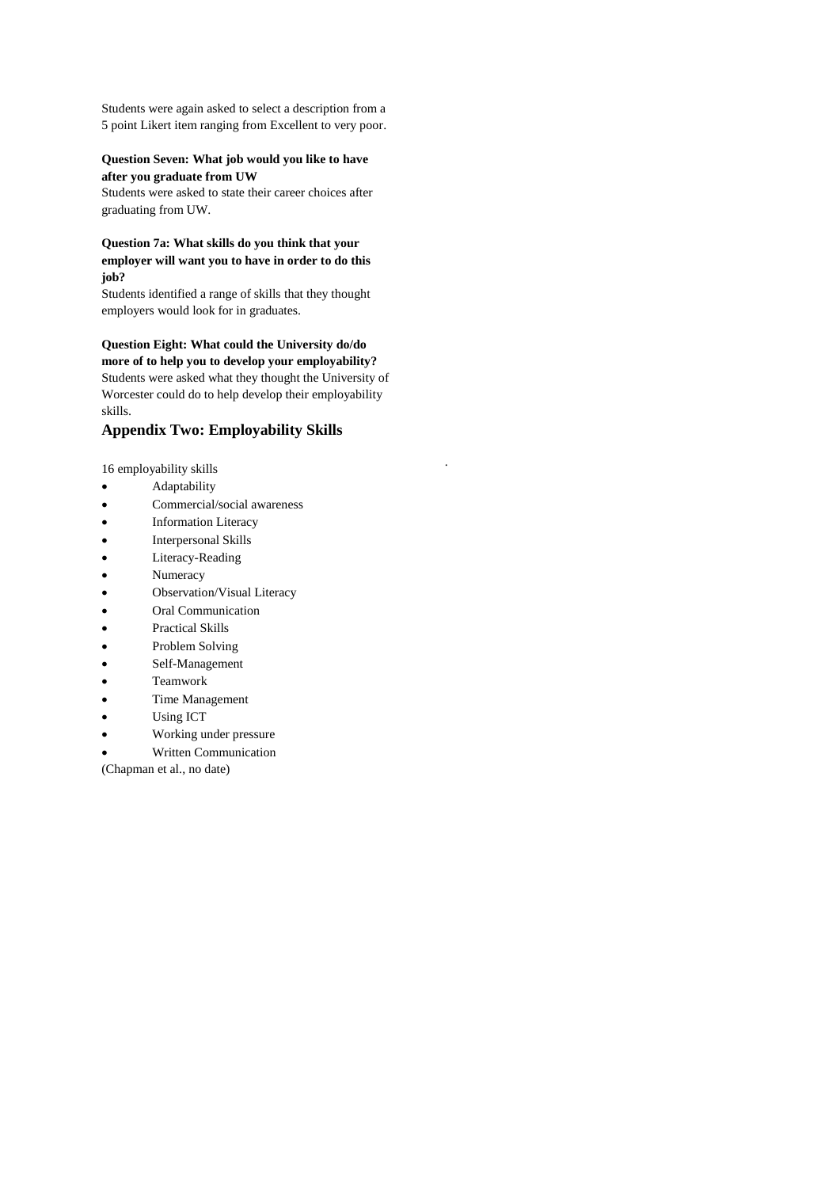Students were again asked to select a description from a 5 point Likert item ranging from Excellent to very poor.

### **Question Seven: What job would you like to have after you graduate from UW**

Students were asked to state their career choices after graduating from UW.

# **Question 7a: What skills do you think that your employer will want you to have in order to do this job?**

Students identified a range of skills that they thought employers would look for in graduates.

**Question Eight: What could the University do/do more of to help you to develop your employability?** Students were asked what they thought the University of Worcester could do to help develop their employability skills.

.

# **Appendix Two: Employability Skills**

16 employability skills

- **•** Adaptability
- Commercial/social awareness
- Information Literacy
- Interpersonal Skills
- Literacy-Reading
- Numeracy
- Observation/Visual Literacy
- Oral Communication
- Practical Skills
- Problem Solving
- Self-Management
- Teamwork
- Time Management
- Using ICT
- Working under pressure
- Written Communication

(Chapman et al., no date)